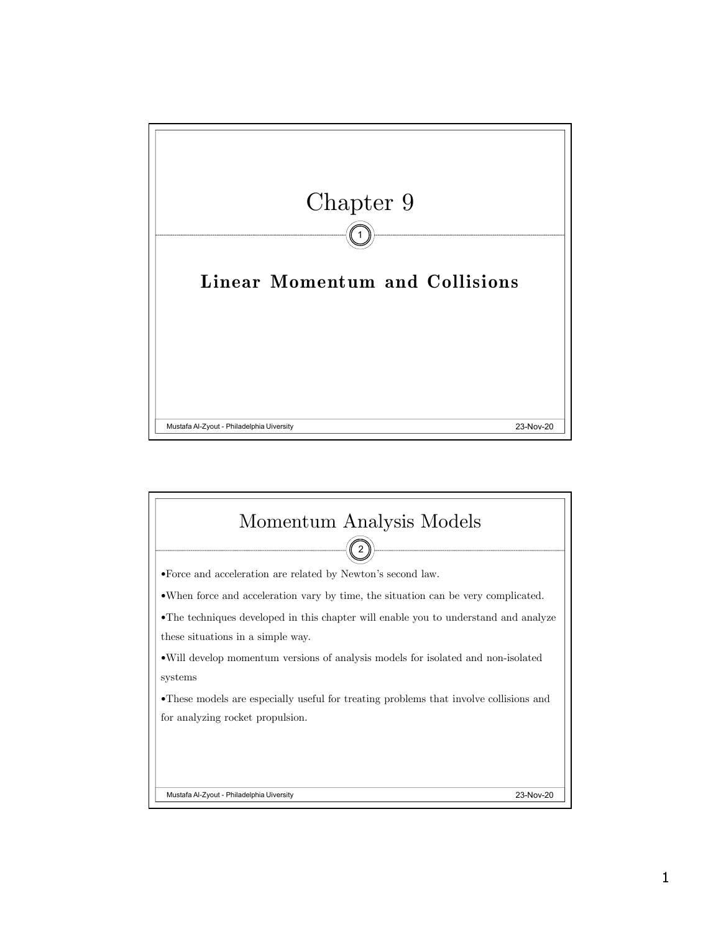

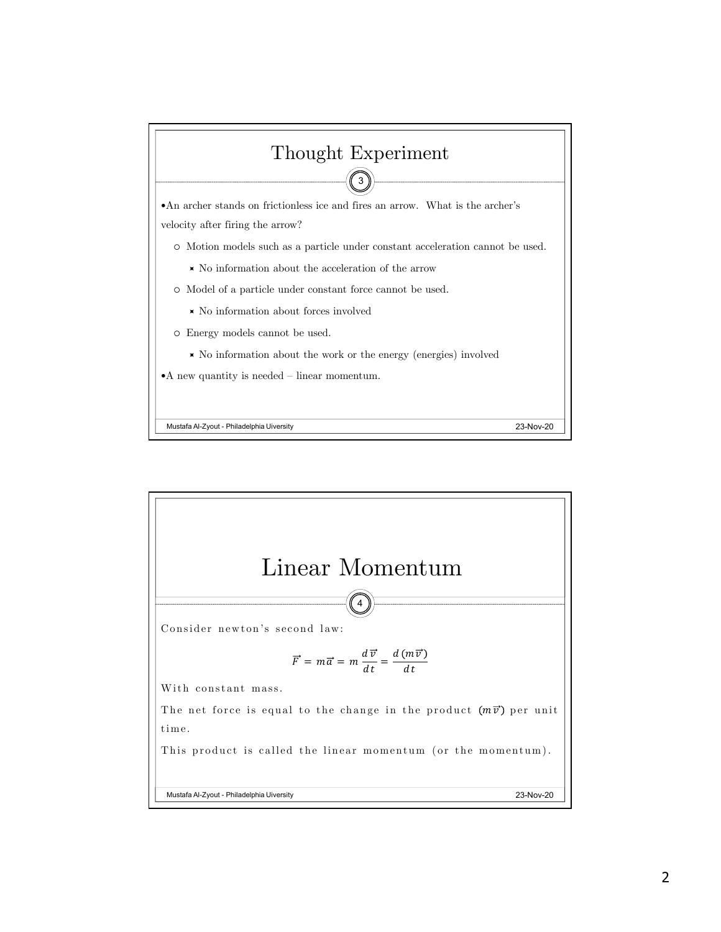

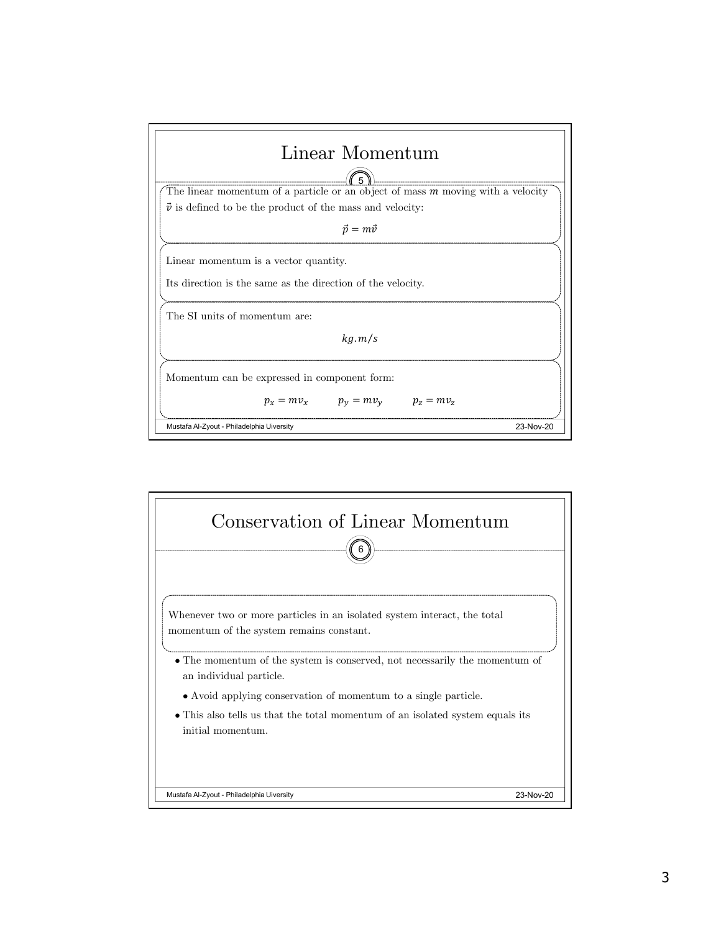

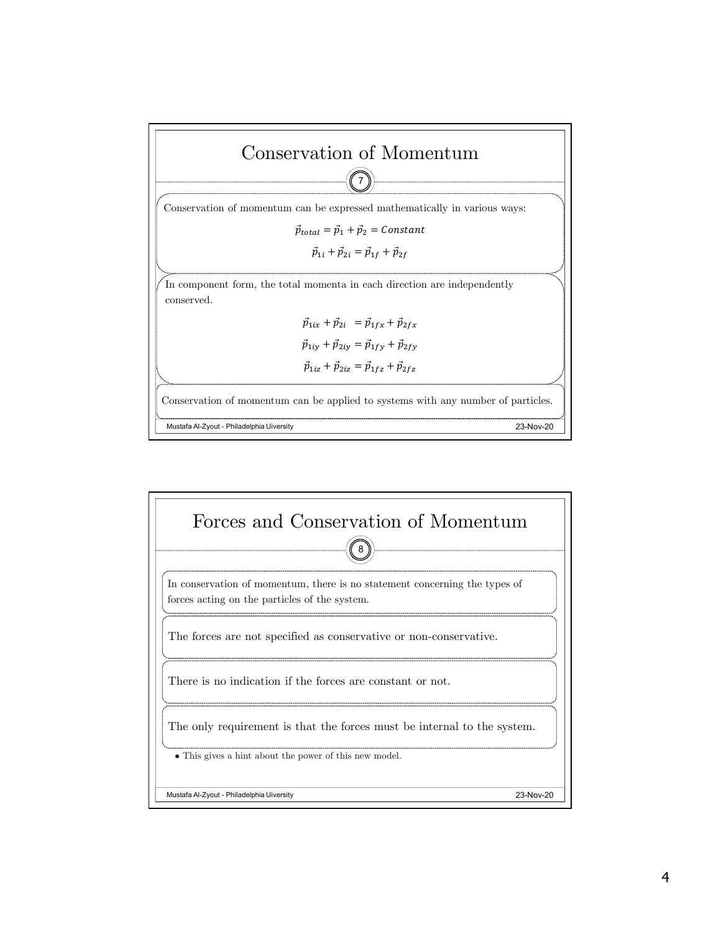

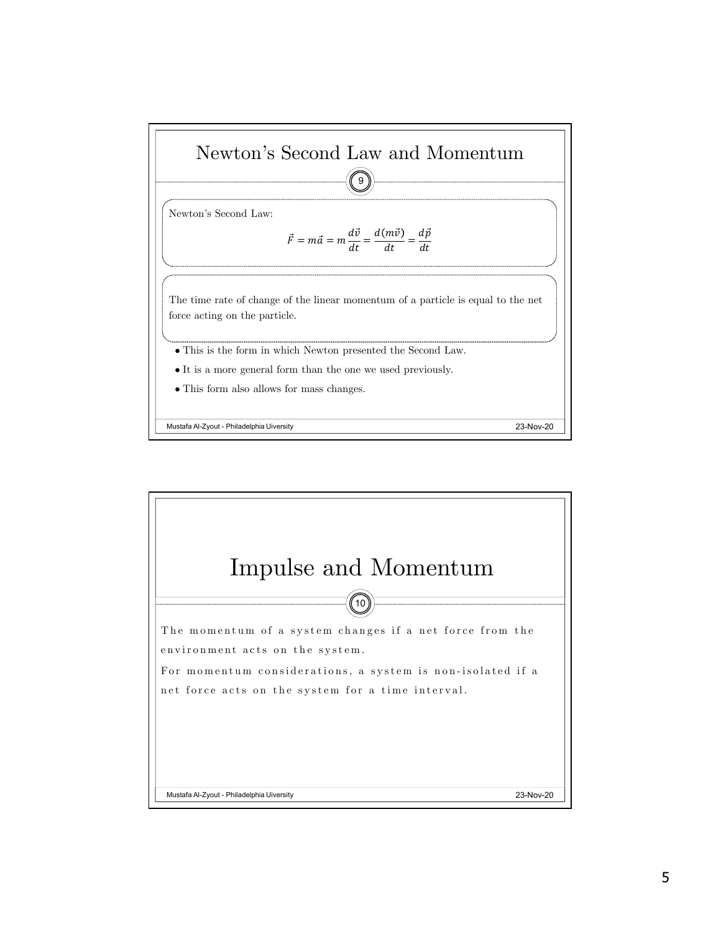

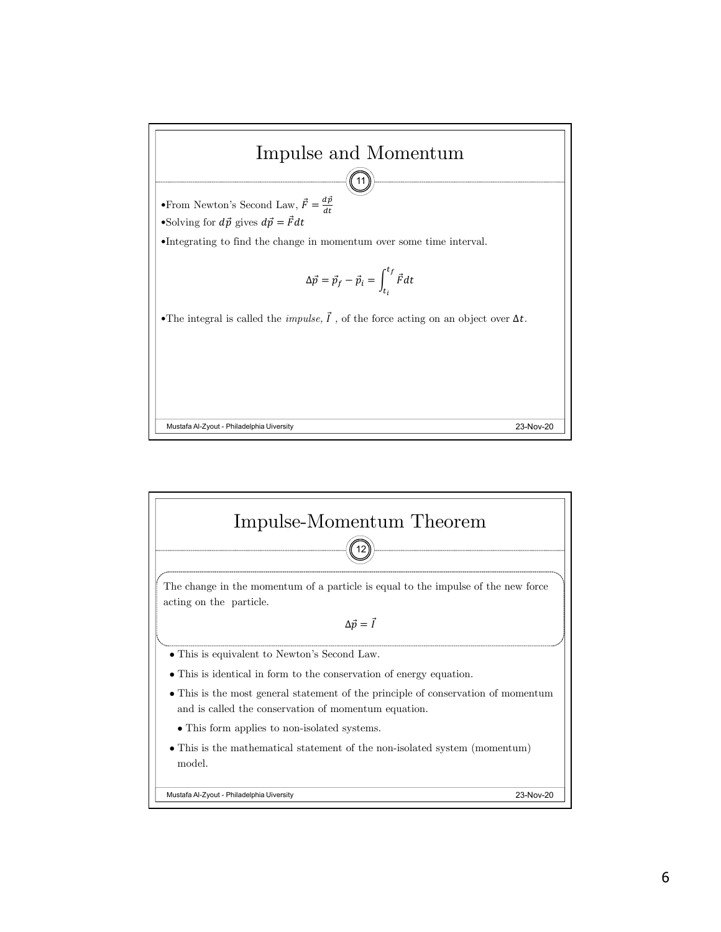

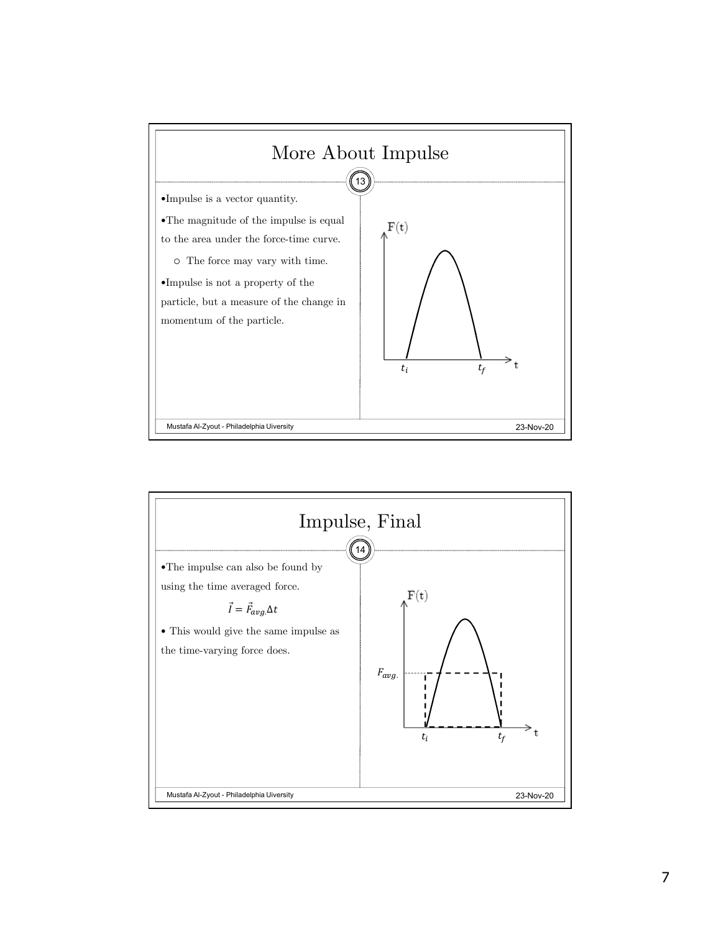

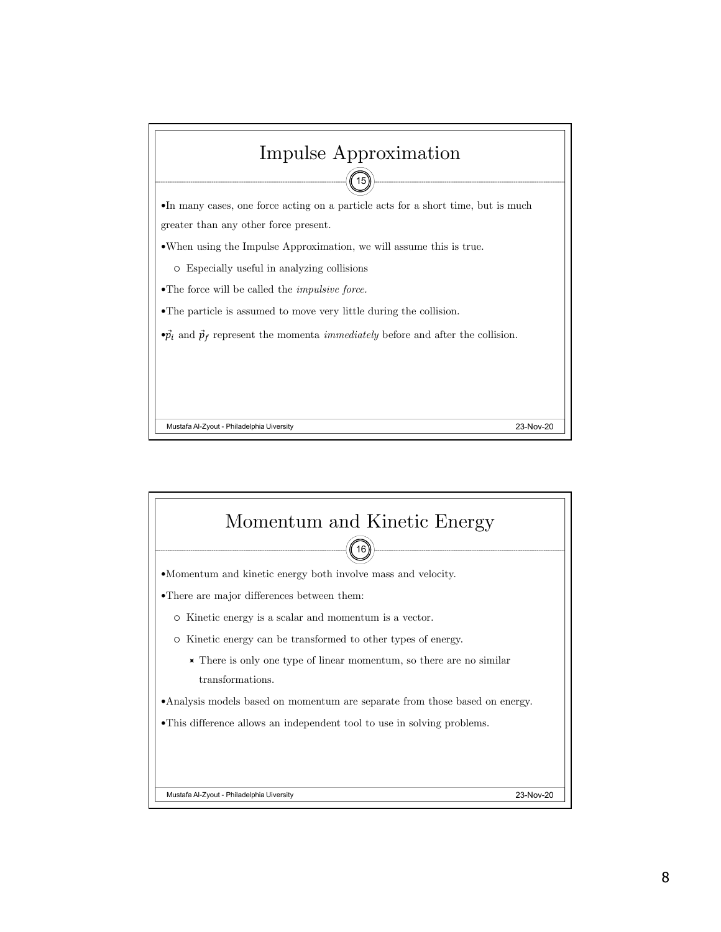

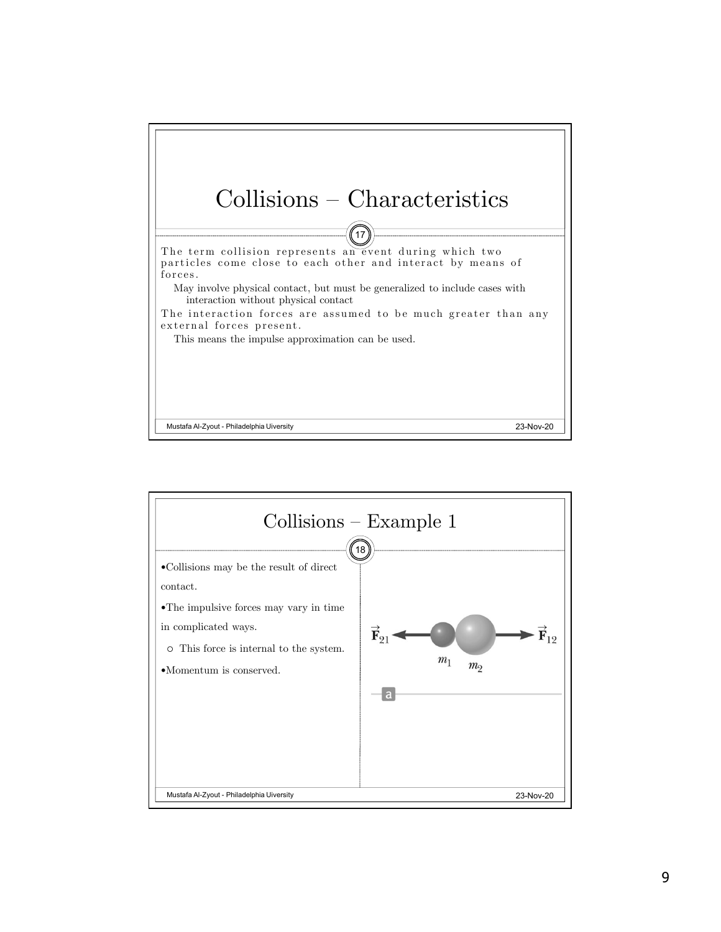

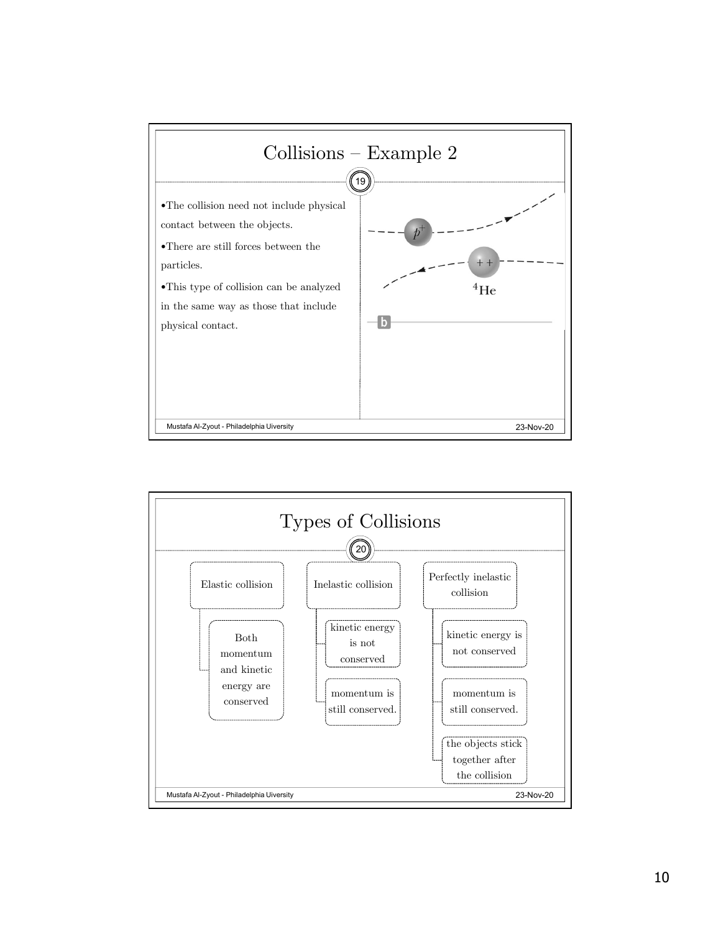

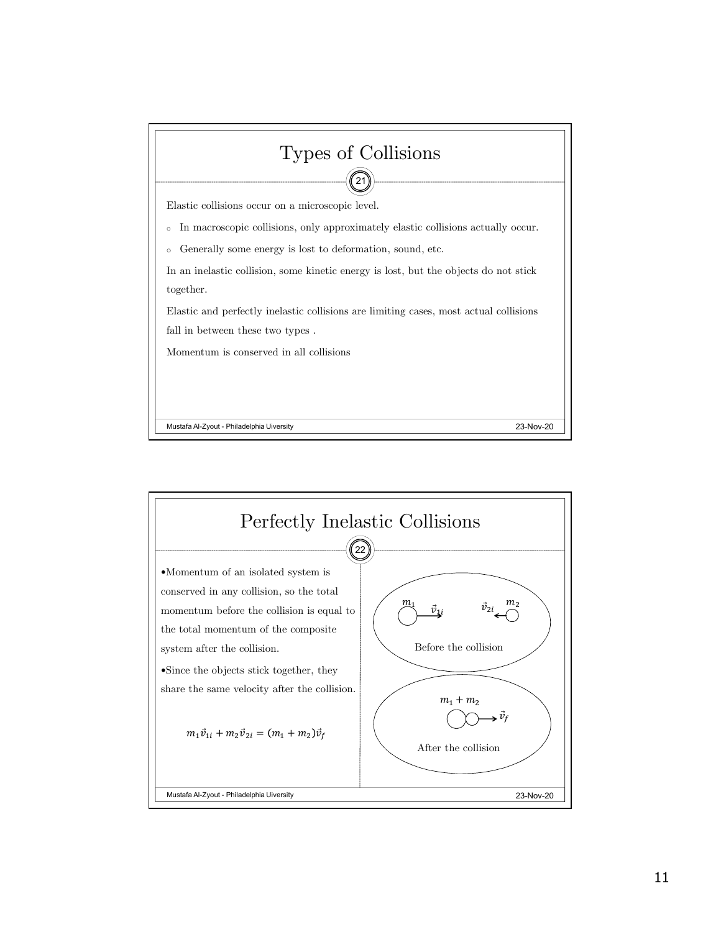

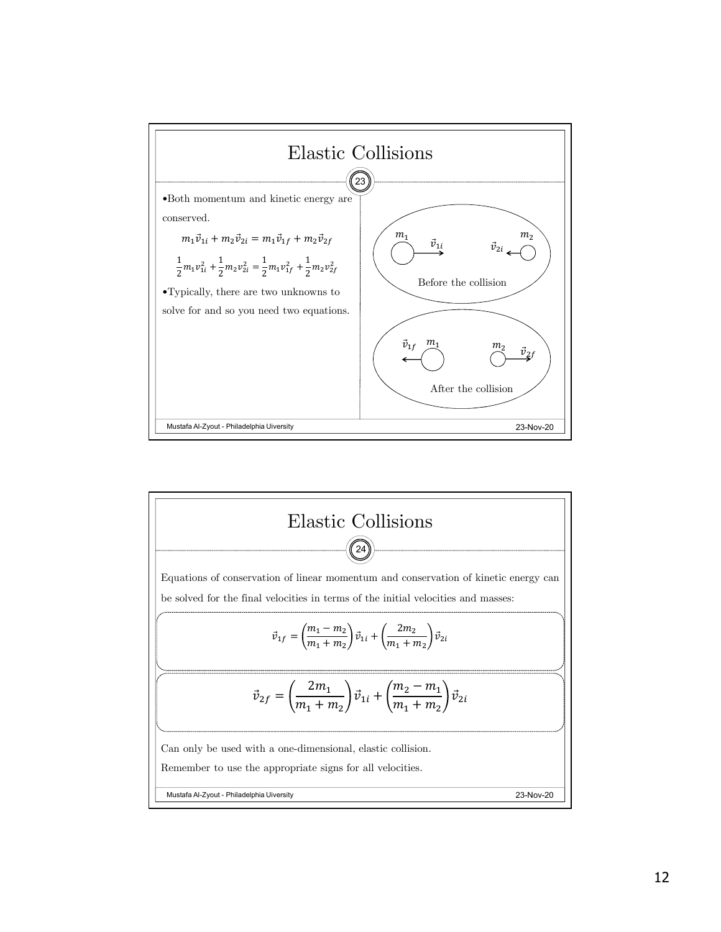

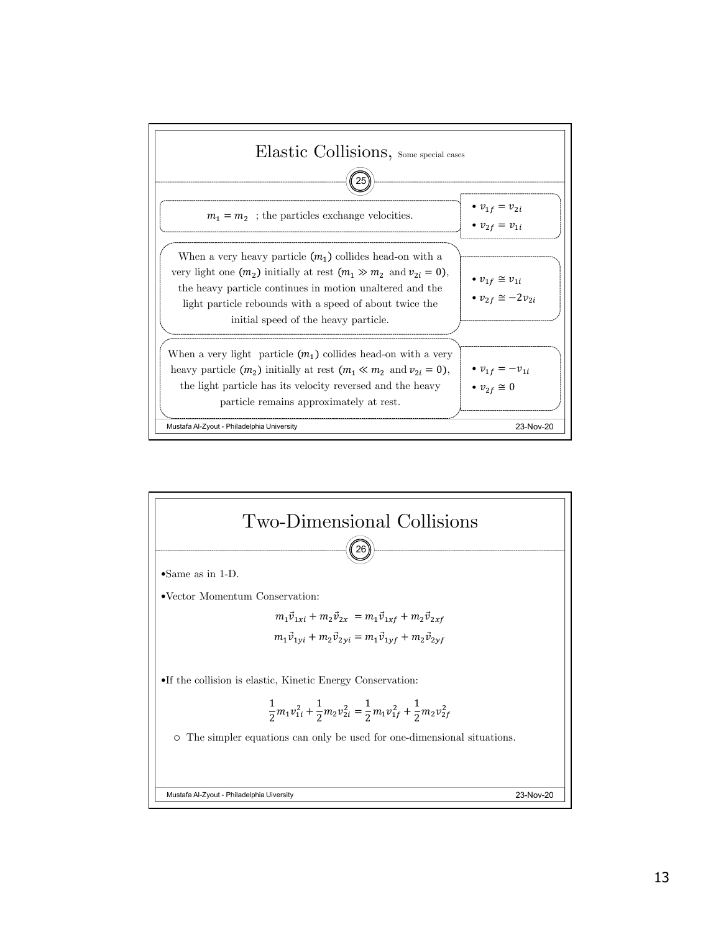

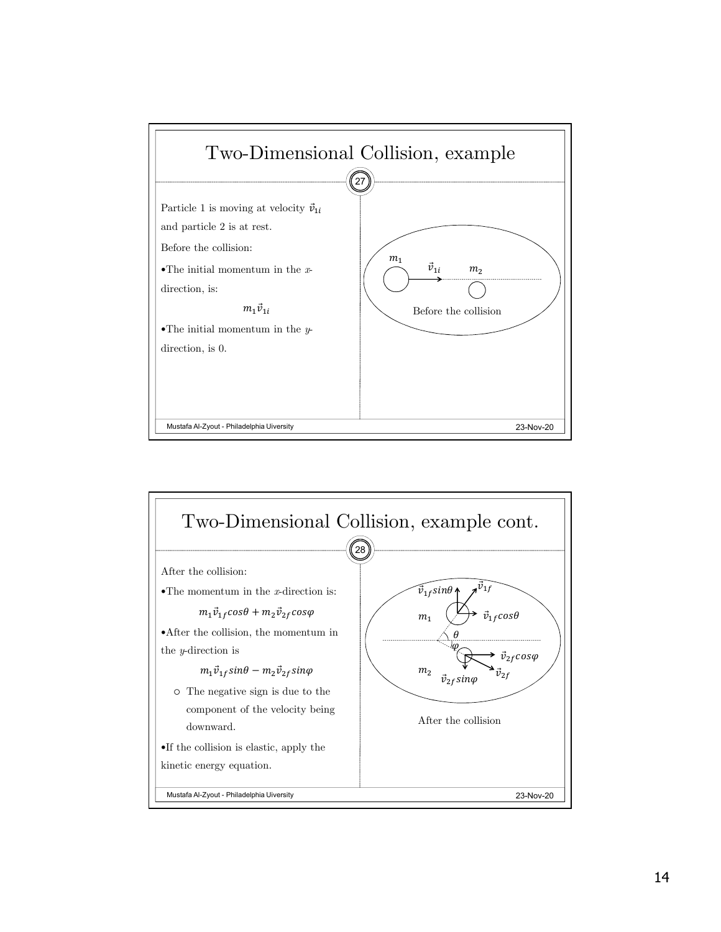

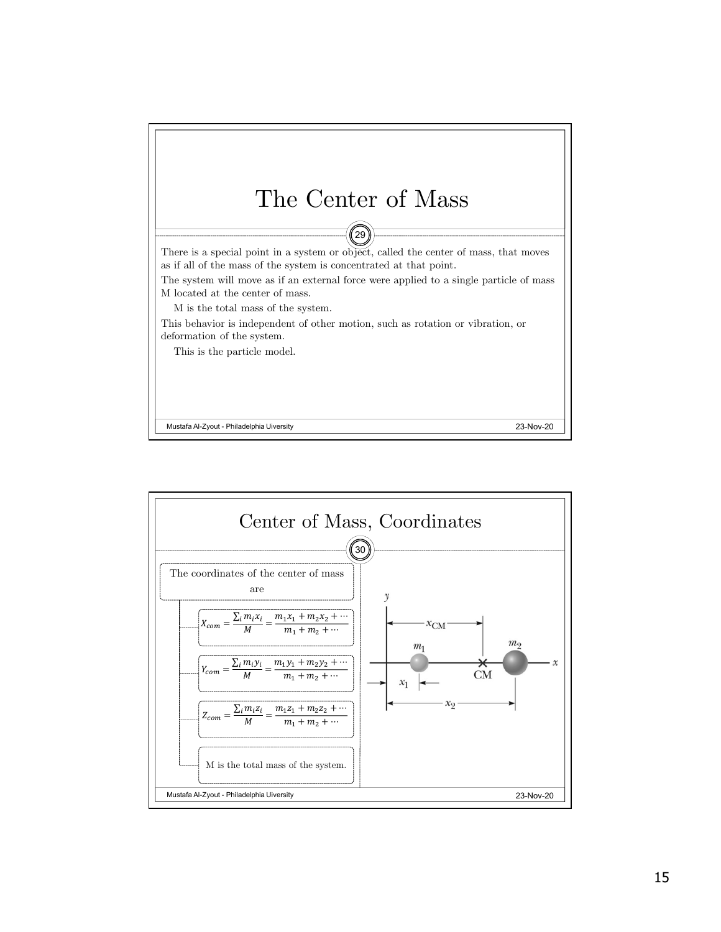

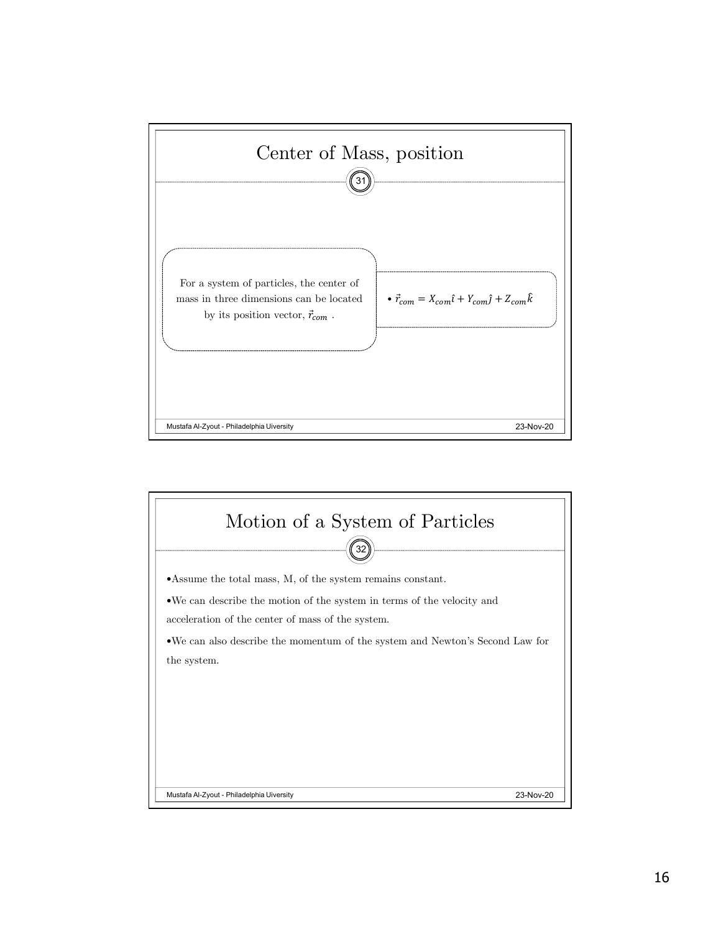

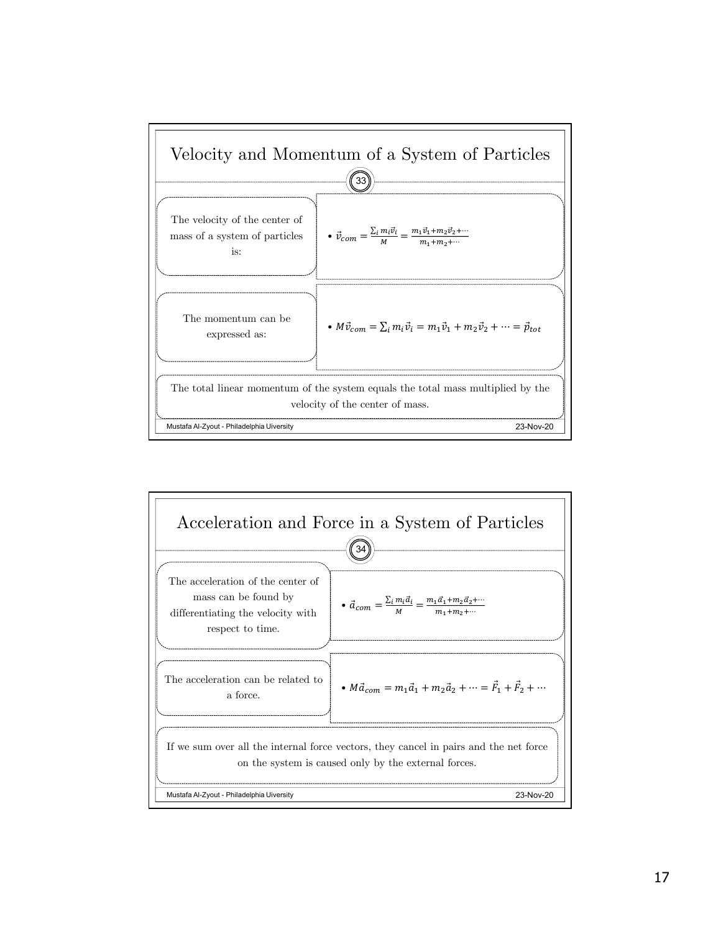